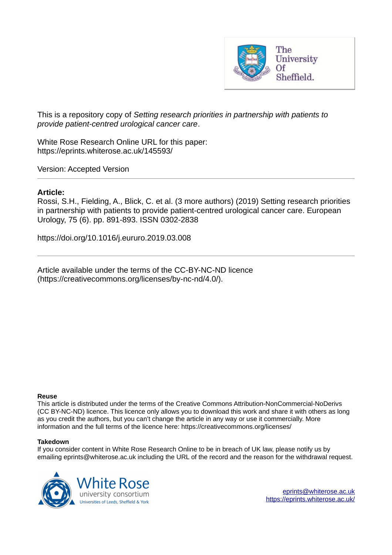

This is a repository copy of *Setting research priorities in partnership with patients to provide patient-centred urological cancer care*.

White Rose Research Online URL for this paper: https://eprints.whiterose.ac.uk/145593/

Version: Accepted Version

## **Article:**

Rossi, S.H., Fielding, A., Blick, C. et al. (3 more authors) (2019) Setting research priorities in partnership with patients to provide patient-centred urological cancer care. European Urology, 75 (6). pp. 891-893. ISSN 0302-2838

https://doi.org/10.1016/j.eururo.2019.03.008

Article available under the terms of the CC-BY-NC-ND licence (https://creativecommons.org/licenses/by-nc-nd/4.0/).

#### **Reuse**

This article is distributed under the terms of the Creative Commons Attribution-NonCommercial-NoDerivs (CC BY-NC-ND) licence. This licence only allows you to download this work and share it with others as long as you credit the authors, but you can't change the article in any way or use it commercially. More information and the full terms of the licence here: https://creativecommons.org/licenses/

#### **Takedown**

If you consider content in White Rose Research Online to be in breach of UK law, please notify us by emailing eprints@whiterose.ac.uk including the URL of the record and the reason for the withdrawal request.

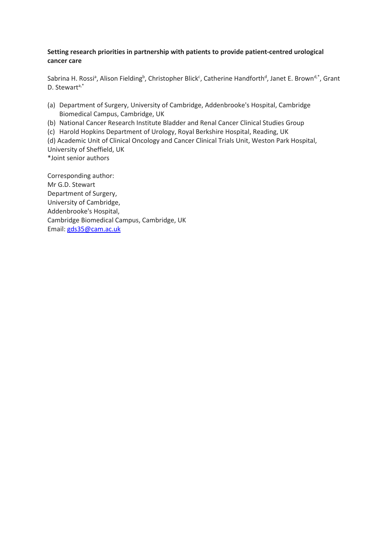### **Setting research priorities in partnership with patients to provide patient-centred urological cancer care**

Sabrina H. Rossi<sup>a</sup>, Alison Fielding<sup>b</sup>, Christopher Blick<sup>c</sup>, Catherine Handforth<sup>d</sup>, Janet E. Brown<sup>d,\*</sup>, Grant D. Stewart<sup>a,\*</sup>

- (a) Department of Surgery, University of Cambridge, Addenbrooke's Hospital, Cambridge Biomedical Campus, Cambridge, UK
- (b) National Cancer Research Institute Bladder and Renal Cancer Clinical Studies Group
- (c) Harold Hopkins Department of Urology, Royal Berkshire Hospital, Reading, UK
- (d) Academic Unit of Clinical Oncology and Cancer Clinical Trials Unit, Weston Park Hospital,

University of Sheffield, UK \*Joint senior authors

Corresponding author: Mr G.D. Stewart Department of Surgery, University of Cambridge, Addenbrooke's Hospital, Cambridge Biomedical Campus, Cambridge, UK Email: [gds35@cam.ac.uk](mailto:gds35@cam.ac.uk)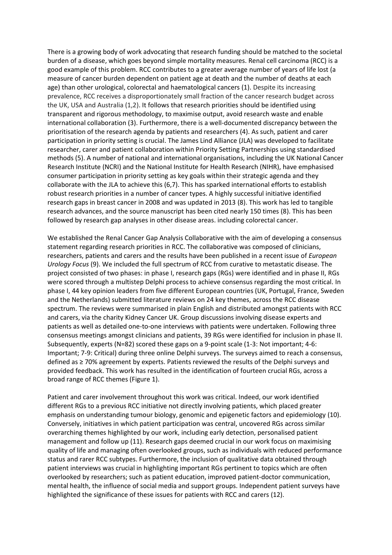There is a growing body of work advocating that research funding should be matched to the societal burden of a disease, which goes beyond simple mortality measures. Renal cell carcinoma (RCC) is a good example of this problem. RCC contributes to a greater average number of years of life lost (a measure of cancer burden dependent on patient age at death and the number of deaths at each age) than other urological, colorectal and haematological cancers (1). Despite its increasing prevalence, RCC receives a disproportionately small fraction of the cancer research budget across the UK, USA and Australia (1,2). It follows that research priorities should be identified using transparent and rigorous methodology, to maximise output, avoid research waste and enable international collaboration (3). Furthermore, there is a well-documented discrepancy between the prioritisation of the research agenda by patients and researchers (4). As such, patient and carer participation in priority setting is crucial. The James Lind Alliance (JLA) was developed to facilitate researcher, carer and patient collaboration within Priority Setting Partnerships using standardised methods (5). A number of national and international organisations, including the UK National Cancer Research Institute (NCRI) and the National Institute for Health Research (NIHR), have emphasised consumer participation in priority setting as key goals within their strategic agenda and they collaborate with the JLA to achieve this (6,7). This has sparked international efforts to establish robust research priorities in a number of cancer types. A highly successful initiative identified research gaps in breast cancer in 2008 and was updated in 2013 (8). This work has led to tangible research advances, and the source manuscript has been cited nearly 150 times (8). This has been followed by research gap analyses in other disease areas. including colorectal cancer.

We established the Renal Cancer Gap Analysis Collaborative with the aim of developing a consensus statement regarding research priorities in RCC. The collaborative was composed of clinicians, researchers, patients and carers and the results have been published in a recent issue of *European Urology Focus* (9). We included the full spectrum of RCC from curative to metastatic disease. The project consisted of two phases: in phase I, research gaps (RGs) were identified and in phase II, RGs were scored through a multistep Delphi process to achieve consensus regarding the most critical. In phase I, 44 key opinion leaders from five different European countries (UK, Portugal, France, Sweden and the Netherlands) submitted literature reviews on 24 key themes, across the RCC disease spectrum. The reviews were summarised in plain English and distributed amongst patients with RCC and carers, via the charity Kidney Cancer UK. Group discussions involving disease experts and patients as well as detailed one-to-one interviews with patients were undertaken. Following three consensus meetings amongst clinicians and patients, 39 RGs were identified for inclusion in phase II. Subsequently, experts (N=82) scored these gaps on a 9-point scale (1-3: Not important; 4-6: Important; 7-9: Critical) during three online Delphi surveys. The surveys aimed to reach a consensus, defined as ≥ 70% agreement by experts. Patients reviewed the results of the Delphi surveys and provided feedback. This work has resulted in the identification of fourteen crucial RGs, across a broad range of RCC themes (Figure 1).

Patient and carer involvement throughout this work was critical. Indeed, our work identified different RGs to a previous RCC initiative not directly involving patients, which placed greater emphasis on understanding tumour biology, genomic and epigenetic factors and epidemiology (10). Conversely, initiatives in which patient participation was central, uncovered RGs across similar overarching themes highlighted by our work, including early detection, personalised patient management and follow up (11). Research gaps deemed crucial in our work focus on maximising quality of life and managing often overlooked groups, such as individuals with reduced performance status and rarer RCC subtypes. Furthermore, the inclusion of qualitative data obtained through patient interviews was crucial in highlighting important RGs pertinent to topics which are often overlooked by researchers; such as patient education, improved patient-doctor communication, mental health, the influence of social media and support groups. Independent patient surveys have highlighted the significance of these issues for patients with RCC and carers (12).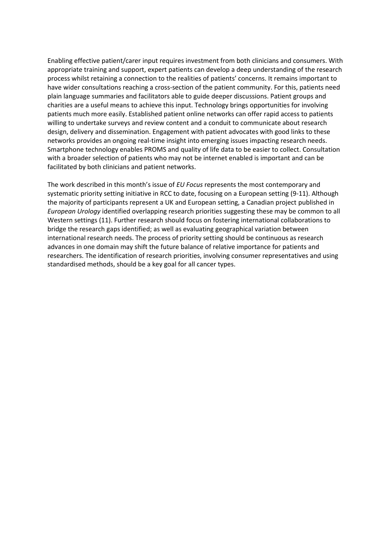Enabling effective patient/carer input requires investment from both clinicians and consumers. With appropriate training and support, expert patients can develop a deep understanding of the research process whilst retaining a connection to the realities of patients' concerns. It remains important to have wider consultations reaching a cross-section of the patient community. For this, patients need plain language summaries and facilitators able to guide deeper discussions. Patient groups and charities are a useful means to achieve this input. Technology brings opportunities for involving patients much more easily. Established patient online networks can offer rapid access to patients willing to undertake surveys and review content and a conduit to communicate about research design, delivery and dissemination. Engagement with patient advocates with good links to these networks provides an ongoing real-time insight into emerging issues impacting research needs. Smartphone technology enables PROMS and quality of life data to be easier to collect. Consultation with a broader selection of patients who may not be internet enabled is important and can be facilitated by both clinicians and patient networks.

The work described in this month's issue of *EU Focus* represents the most contemporary and systematic priority setting initiative in RCC to date, focusing on a European setting (9-11). Although the majority of participants represent a UK and European setting, a Canadian project published in *European Urology* identified overlapping research priorities suggesting these may be common to all Western settings (11). Further research should focus on fostering international collaborations to bridge the research gaps identified; as well as evaluating geographical variation between international research needs. The process of priority setting should be continuous as research advances in one domain may shift the future balance of relative importance for patients and researchers. The identification of research priorities, involving consumer representatives and using standardised methods, should be a key goal for all cancer types.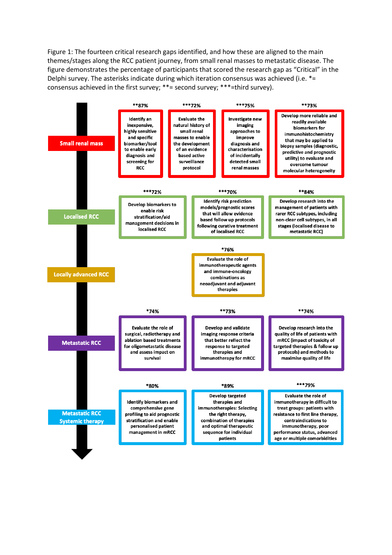Figure 1: The fourteen critical research gaps identified, and how these are aligned to the main themes/stages along the RCC patient journey, from small renal masses to metastatic disease. The figure demonstrates the percentage of participants that scored the research gap as "Critical" in the Delphi survey. The asterisks indicate during which iteration consensus was achieved (i.e. \*= consensus achieved in the first survey; \*\*= second survey; \*\*\*=third survey).